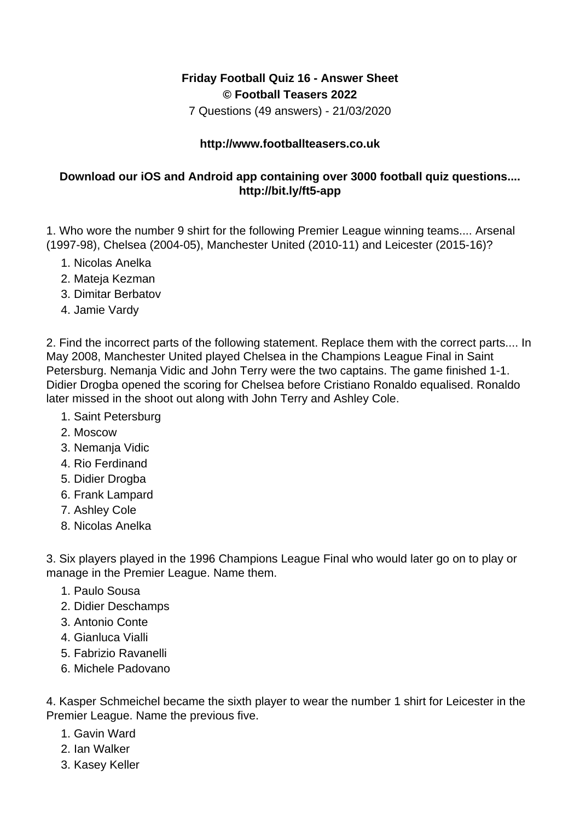## **Friday Football Quiz 16 - Answer Sheet © Football Teasers 2022**

7 Questions (49 answers) - 21/03/2020

## **http://www.footballteasers.co.uk**

## **Download our iOS and Android app containing over 3000 football quiz questions.... http://bit.ly/ft5-app**

1. Who wore the number 9 shirt for the following Premier League winning teams.... Arsenal (1997-98), Chelsea (2004-05), Manchester United (2010-11) and Leicester (2015-16)?

- 1. Nicolas Anelka
- 2. Mateja Kezman
- 3. Dimitar Berbatov
- 4. Jamie Vardy

2. Find the incorrect parts of the following statement. Replace them with the correct parts.... In May 2008, Manchester United played Chelsea in the Champions League Final in Saint Petersburg. Nemanja Vidic and John Terry were the two captains. The game finished 1-1. Didier Drogba opened the scoring for Chelsea before Cristiano Ronaldo equalised. Ronaldo later missed in the shoot out along with John Terry and Ashley Cole.

- 1. Saint Petersburg
- 2. Moscow
- 3. Nemanja Vidic
- 4. Rio Ferdinand
- 5. Didier Drogba
- 6. Frank Lampard
- 7. Ashley Cole
- 8. Nicolas Anelka

3. Six players played in the 1996 Champions League Final who would later go on to play or manage in the Premier League. Name them.

- 1. Paulo Sousa
- 2. Didier Deschamps
- 3. Antonio Conte
- 4. Gianluca Vialli
- 5. Fabrizio Ravanelli
- 6. Michele Padovano

4. Kasper Schmeichel became the sixth player to wear the number 1 shirt for Leicester in the Premier League. Name the previous five.

- 1. Gavin Ward
- 2. Ian Walker
- 3. Kasey Keller